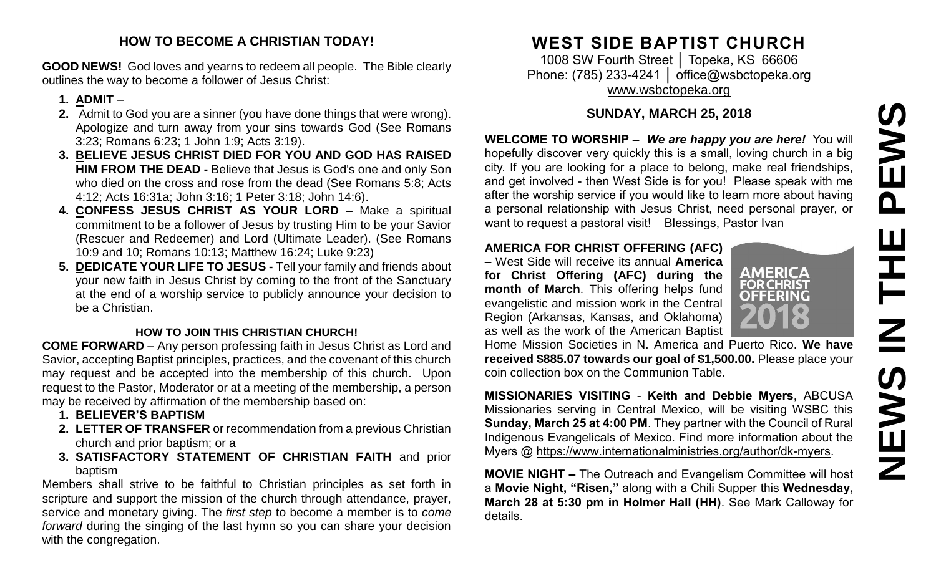#### **HOW TO BECOME A CHRISTIAN TODAY!**

**GOOD NEWS!** God loves and yearns to redeem all people. The Bible clearly outlines the way to become a follower of Jesus Christ:

#### **1. ADMIT** –

- **2.** Admit to God you are a sinner (you have done things that were wrong). Apologize and turn away from your sins towards God (See Romans 3:23; Romans 6:23; 1 John 1:9; Acts 3:19).
- **3. BELIEVE JESUS CHRIST DIED FOR YOU AND GOD HAS RAISED HIM FROM THE DEAD -** Believe that Jesus is God's one and only Son who died on the cross and rose from the dead (See Romans 5:8; Acts 4:12; Acts 16:31a; John 3:16; 1 Peter 3:18; John 14:6).
- **4. CONFESS JESUS CHRIST AS YOUR LORD –** Make a spiritual commitment to be a follower of Jesus by trusting Him to be your Savior (Rescuer and Redeemer) and Lord (Ultimate Leader). (See Romans 10:9 and 10; Romans 10:13; Matthew 16:24; Luke 9:23)
- **5. DEDICATE YOUR LIFE TO JESUS -** Tell your family and friends about your new faith in Jesus Christ by coming to the front of the Sanctuary at the end of a worship service to publicly announce your decision to be a Christian.

#### **HOW TO JOIN THIS CHRISTIAN CHURCH!**

**COME FORWARD** – Any person professing faith in Jesus Christ as Lord and Savior, accepting Baptist principles, practices, and the covenant of this church may request and be accepted into the membership of this church. Upon request to the Pastor, Moderator or at a meeting of the membership, a person may be received by affirmation of the membership based on:

- **1. BELIEVER'S BAPTISM**
- **2. LETTER OF TRANSFER** or recommendation from a previous Christian church and prior baptism; or a
- **3. SATISFACTORY STATEMENT OF CHRISTIAN FAITH** and prior baptism

Members shall strive to be faithful to Christian principles as set forth in scripture and support the mission of the church through attendance, prayer, service and monetary giving. The *first step* to become a member is to *come forward* during the singing of the last hymn so you can share your decision with the congregation.

# **WEST SIDE BAPTIST CHURCH**

1008 SW Fourth Street │ Topeka, KS 66606 Phone: (785) 233-4241 │ [office@wsbctopeka.org](mailto:office@wsbctopeka.org) [www.wsbctopeka.org](http://www.wsbctopeka.org/)

## **SUNDAY, MARCH 25, 2018**

**WELCOME TO WORSHIP –** *We are happy you are here!* You will hopefully discover very quickly this is a small, loving church in a big city. If you are looking for a place to belong, make real friendships, and get involved - then West Side is for you! Please speak with me after the worship service if you would like to learn more about having a personal relationship with Jesus Christ, need personal prayer, or want to request a pastoral visit! Blessings, Pastor Ivan **SUNDAY, MARCH 25, 2018**<br> **NELCOME TO WORSHIP – We are happy you are here!** You will<br>
hopefully discover very quickly this is a small, loving church in a big<br>
city. If you are looking for a place to belong, make real frien

### **AMERICA FOR CHRIST OFFERING (AFC)**

**–** West Side will receive its annual **America for Christ Offering (AFC) during the month of March**. This offering helps fund evangelistic and mission work in the Central Region (Arkansas, Kansas, and Oklahoma) as well as the work of the American Baptist



Home Mission Societies in N. America and Puerto Rico. **We have received \$885.07 towards our goal of \$1,500.00.** Please place your coin collection box on the Communion Table.

**MISSIONARIES VISITING** - **Keith and Debbie Myers**, ABCUSA Missionaries serving in Central Mexico, will be visiting WSBC this **Sunday, March 25 at 4:00 PM**. They partner with the Council of Rural Indigenous Evangelicals of Mexico. Find more information about the Myers @ [https://www.internationalministries.org/author/dk-myers.](https://www.internationalministries.org/author/dk-myers)

**MOVIE NIGHT –** The Outreach and Evangelism Committee will host a **Movie Night, "Risen,"** along with a Chili Supper this **Wednesday, March 28 at 5:30 pm in Holmer Hall (HH)**. See Mark Calloway for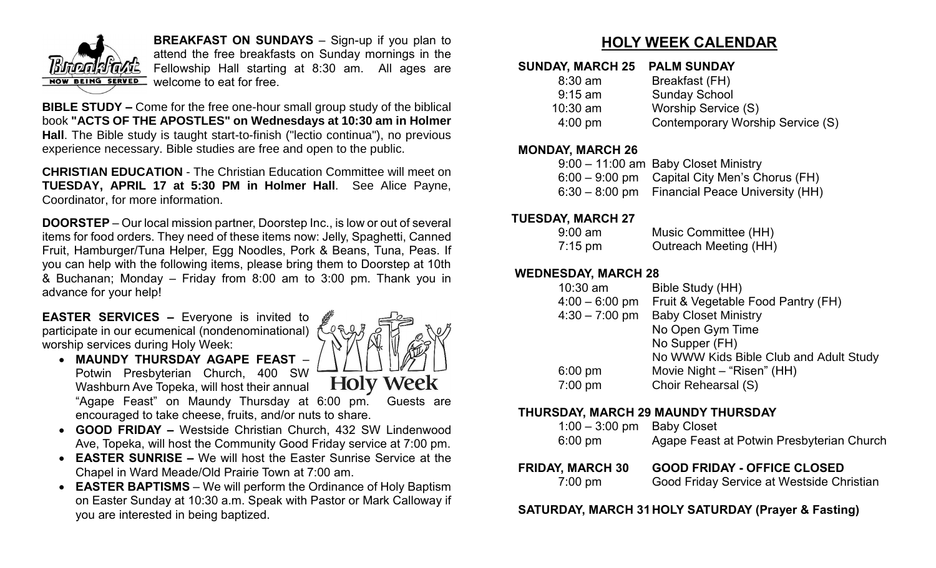

**BREAKFAST ON SUNDAYS** – Sign-up if you plan to attend the free breakfasts on Sunday mornings in the Fellowship Hall starting at 8:30 am. All ages are NOW BEING SERVED Welcome to eat for free.

**BIBLE STUDY –** Come for the free one-hour small group study of the biblical book **"ACTS OF THE APOSTLES" on Wednesdays at 10:30 am in Holmer Hall**. The Bible study is taught start-to-finish ("lectio continua"), no previous experience necessary. Bible studies are free and open to the public.

**CHRISTIAN EDUCATION** - The Christian Education Committee will meet on **TUESDAY, APRIL 17 at 5:30 PM in Holmer Hall**. See Alice Payne, Coordinator, for more information.

**DOORSTEP** – Our local mission partner, Doorstep Inc., is low or out of several items for food orders. They need of these items now: Jelly, Spaghetti, Canned Fruit, Hamburger/Tuna Helper, Egg Noodles, Pork & Beans, Tuna, Peas. If you can help with the following items, please bring them to Doorstep at 10th & Buchanan; Monday – Friday from 8:00 am to 3:00 pm. Thank you in advance for your help!

**EASTER SERVICES –** Everyone is invited to participate in our ecumenical (nondenominational) worship services during Holy Week:

- **MAUNDY THURSDAY AGAPE FEAST** Potwin Presbyterian Church, 400 SW **Holy Week** Washburn Ave Topeka, will host their annual "Agape Feast" on Maundy Thursday at 6:00 pm. Guests are encouraged to take cheese, fruits, and/or nuts to share.
- **GOOD FRIDAY –** Westside Christian Church, 432 SW Lindenwood Ave, Topeka, will host the Community Good Friday service at 7:00 pm.
- **EASTER SUNRISE –** We will host the Easter Sunrise Service at the Chapel in Ward Meade/Old Prairie Town at 7:00 am.
- **EASTER BAPTISMS**  We will perform the Ordinance of Holy Baptism on Easter Sunday at 10:30 a.m. Speak with Pastor or Mark Calloway if you are interested in being baptized.

# **HOLY WEEK CALENDAR**

#### **SUNDAY, MARCH 25 PALM SUNDAY**

| $8:30$ am         | Breakfast (FH)                   |
|-------------------|----------------------------------|
| $9:15$ am         | <b>Sunday School</b>             |
| $10:30$ am        | Worship Service (S)              |
| $4:00 \text{ pm}$ | Contemporary Worship Service (S) |
|                   |                                  |

#### **MONDAY, MARCH 26**

| 9:00 - 11:00 am Baby Closet Ministry             |
|--------------------------------------------------|
| $6:00 - 9:00$ pm Capital City Men's Chorus (FH)  |
| $6:30 - 8:00$ pm Financial Peace University (HH) |

#### **TUESDAY, MARCH 27**

| $9:00 \text{ am}$ | Music Committee (HH)  |
|-------------------|-----------------------|
| $7:15 \text{ pm}$ | Outreach Meeting (HH) |

#### **WEDNESDAY, MARCH 28**

| $10:30$ am       | Bible Study (HH)                       |
|------------------|----------------------------------------|
| $4:00 - 6:00$ pm | Fruit & Vegetable Food Pantry (FH)     |
| $4:30 - 7:00$ pm | <b>Baby Closet Ministry</b>            |
|                  | No Open Gym Time                       |
|                  | No Supper (FH)                         |
|                  | No WWW Kids Bible Club and Adult Study |
| $6:00$ pm        | Movie Night - "Risen" (HH)             |
| 7:00 pm          | <b>Choir Rehearsal (S)</b>             |

#### **THURSDAY, MARCH 29 MAUNDY THURSDAY**

| IR AV BEARAIL AA             | AAAB FBIBAY AFFIAF ALAAFB                 |
|------------------------------|-------------------------------------------|
| $6:00 \text{ pm}$            | Agape Feast at Potwin Presbyterian Church |
| $1:00 - 3:00$ pm Baby Closet |                                           |

**FRIDAY, MARCH 30 GOOD FRIDAY - OFFICE CLOSED** 7:00 pm Good Friday Service at Westside Christian

#### **SATURDAY, MARCH 31HOLY SATURDAY (Prayer & Fasting)**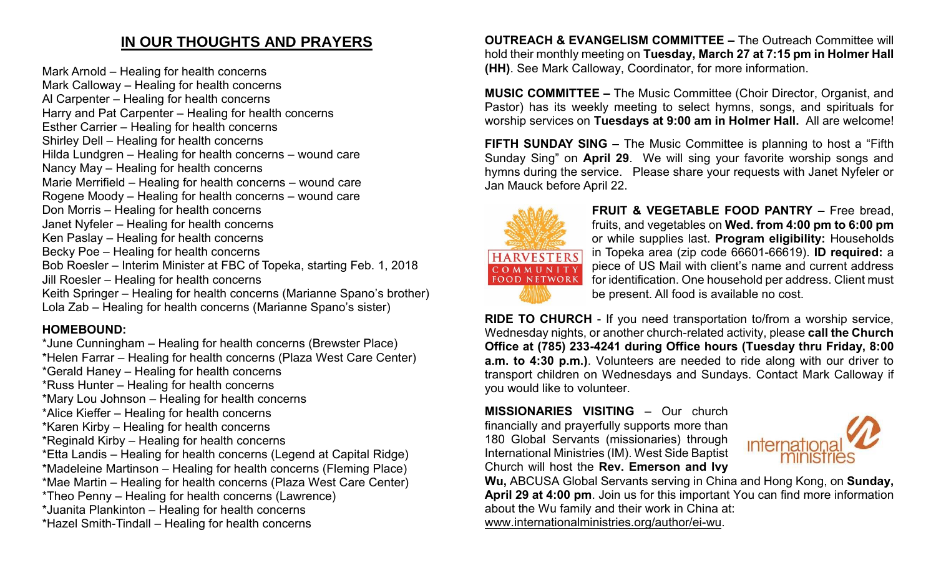# **IN OUR THOUGHTS AND PRAYERS**

Mark Arnold – Healing for health concerns Mark Calloway – Healing for health concerns Al Carpenter – Healing for health concerns Harry and Pat Carpenter – Healing for health concerns Esther Carrier – Healing for health concerns Shirley Dell – Healing for health concerns Hilda Lundgren – Healing for health concerns – wound care Nancy May – Healing for health concerns Marie Merrifield – Healing for health concerns – wound care Rogene Moody – Healing for health concerns – wound care Don Morris – Healing for health concerns Janet Nyfeler – Healing for health concerns Ken Paslay – Healing for health concerns Becky Poe – Healing for health concerns Bob Roesler – Interim Minister at FBC of Topeka, starting Feb. 1, 2018 Jill Roesler – Healing for health concerns Keith Springer – Healing for health concerns (Marianne Spano's brother) Lola Zab – Healing for health concerns (Marianne Spano's sister)

## **HOMEBOUND:**

- \*June Cunningham Healing for health concerns (Brewster Place) \*Helen Farrar – Healing for health concerns (Plaza West Care Center)
- \*Gerald Haney Healing for health concerns
- \*Russ Hunter Healing for health concerns
- \*Mary Lou Johnson Healing for health concerns
- \*Alice Kieffer Healing for health concerns
- \*Karen Kirby Healing for health concerns
- \*Reginald Kirby Healing for health concerns
- \*Etta Landis Healing for health concerns (Legend at Capital Ridge)
- \*Madeleine Martinson Healing for health concerns (Fleming Place)
- \*Mae Martin Healing for health concerns (Plaza West Care Center)
- \*Theo Penny Healing for health concerns (Lawrence)
- \*Juanita Plankinton Healing for health concerns
- \*Hazel Smith-Tindall Healing for health concerns

**OUTREACH & EVANGELISM COMMITTEE –** The Outreach Committee will hold their monthly meeting on **Tuesday, March 27 at 7:15 pm in Holmer Hall (HH)**. See Mark Calloway, Coordinator, for more information.

**MUSIC COMMITTEE –** The Music Committee (Choir Director, Organist, and Pastor) has its weekly meeting to select hymns, songs, and spirituals for worship services on **Tuesdays at 9:00 am in Holmer Hall.** All are welcome!

**FIFTH SUNDAY SING –** The Music Committee is planning to host a "Fifth Sunday Sing" on **April 29**. We will sing your favorite worship songs and hymns during the service. Please share your requests with Janet Nyfeler or Jan Mauck before April 22.



**FRUIT & VEGETABLE FOOD PANTRY –** Free bread, fruits, and vegetables on **Wed. from 4:00 pm to 6:00 pm**  or while supplies last. **Program eligibility:** Households in Topeka area (zip code 66601-66619). **ID required:** a piece of US Mail with client's name and current address for identification. One household per address. Client must be present. All food is available no cost.

**RIDE TO CHURCH** - If you need transportation to/from a worship service, Wednesday nights, or another church-related activity, please **call the Church Office at (785) 233-4241 during Office hours (Tuesday thru Friday, 8:00 a.m. to 4:30 p.m.)**. Volunteers are needed to ride along with our driver to transport children on Wednesdays and Sundays. Contact Mark Calloway if you would like to volunteer.

**MISSIONARIES VISITING** – Our church financially and prayerfully supports more than 180 Global Servants (missionaries) through International Ministries (IM). West Side Baptist Church will host the **Rev. Emerson and Ivy** 



**Wu,** ABCUSA Global Servants serving in China and Hong Kong, on **Sunday, April 29 at 4:00 pm**. Join us for this important You can find more information about the Wu family and their work in China at: [www.internationalministries.org/author/ei-wu.](http://www.internationalministries.org/author/ei-wu)